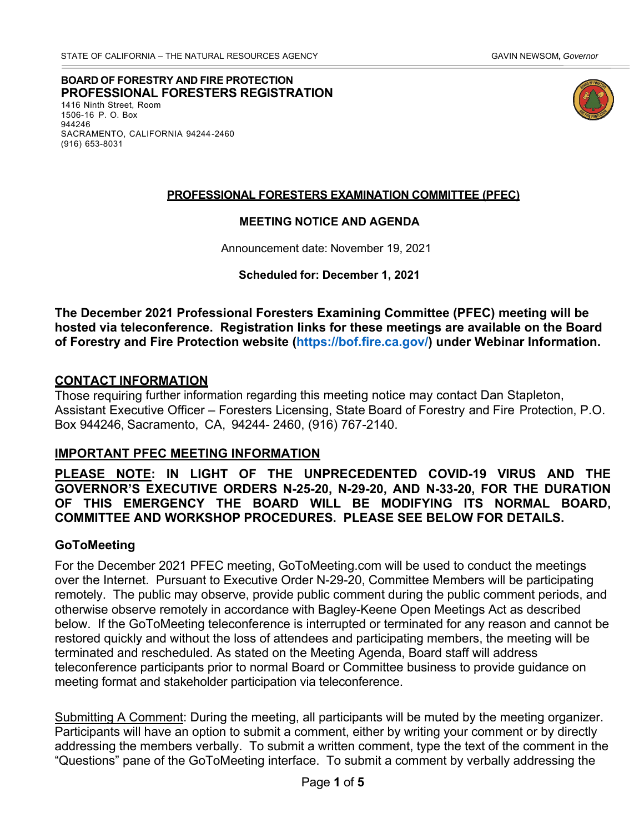**BOARD OF FORESTRY AND FIRE PROTECTION**  1506-16 P. O. Box 944246 **PROFESSIONAL FORESTERS REGISTRATION**  1416 Ninth Street, Room SACRAMENTO, CALIFORNIA 94244 -2460



## **PROFESSIONAL FORESTERS EXAMINATION COMMITTEE (PFEC)**

### **MEETING NOTICE AND AGENDA**

Announcement date: November 19, 2021

**Scheduled for: December 1, 2021** 

**The December 2021 Professional Foresters Examining Committee (PFEC) meeting will be hosted via teleconference. Registration links for these meetings are available on the Board of Forestry and Fire Protection website (https://bof.fire.ca.gov/) under Webinar Information.** 

## **CONTACT INFORMATION**

 Those requiring further information regarding this meeting notice may contact Dan Stapleton, Assistant Executive Officer – Foresters Licensing, State Board of Forestry and Fire Protection, P.O. Box 944246, Sacramento, CA, 94244- 2460, (916) 767-2140.

### **IMPORTANT PFEC MEETING INFORMATION**

## **PLEASE NOTE: IN LIGHT OF THE UNPRECEDENTED COVID-19 VIRUS AND THE GOVERNOR'S EXECUTIVE ORDERS N-25-20, N-29-20, AND N-33-20, FOR THE DURATION OF THIS EMERGENCY THE BOARD WILL BE MODIFYING ITS NORMAL BOARD, COMMITTEE AND WORKSHOP PROCEDURES. PLEASE SEE BELOW FOR DETAILS.**

## **GoToMeeting**

(916) 653-8031

For the December 2021 PFEC meeting, GoToMeeting.com will be used to conduct the meetings over the Internet. Pursuant to Executive Order N-29-20, Committee Members will be participating remotely. The public may observe, provide public comment during the public comment periods, and otherwise observe remotely in accordance with Bagley-Keene Open Meetings Act as described below. If the GoToMeeting teleconference is interrupted or terminated for any reason and cannot be restored quickly and without the loss of attendees and participating members, the meeting will be terminated and rescheduled. As stated on the Meeting Agenda, Board staff will address teleconference participants prior to normal Board or Committee business to provide guidance on meeting format and stakeholder participation via teleconference.

Submitting A Comment: During the meeting, all participants will be muted by the meeting organizer. Participants will have an option to submit a comment, either by writing your comment or by directly addressing the members verbally. To submit a written comment, type the text of the comment in the "Questions" pane of the GoToMeeting interface. To submit a comment by verbally addressing the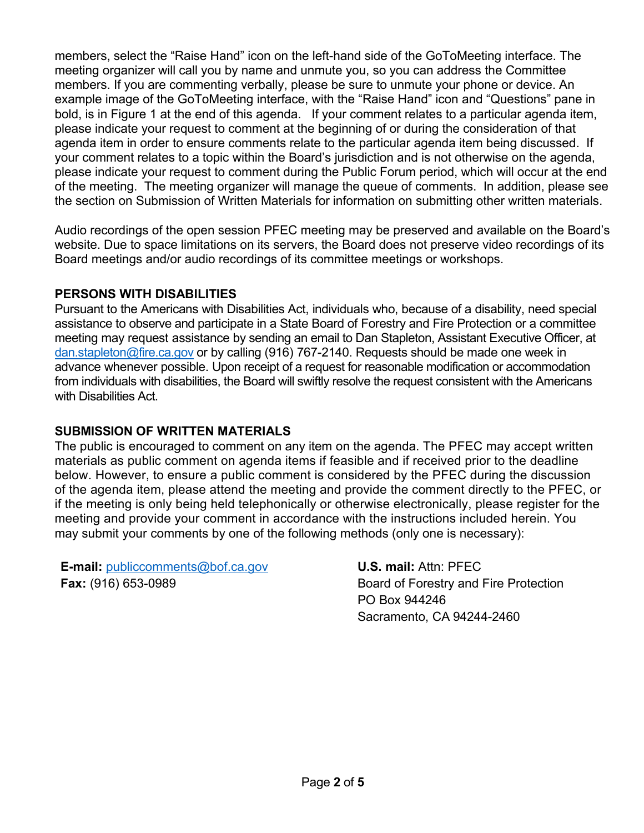the section on Submission of Written Materials for information on submitting other written materials. members, select the "Raise Hand" icon on the left-hand side of the GoToMeeting interface. The meeting organizer will call you by name and unmute you, so you can address the Committee members. If you are commenting verbally, please be sure to unmute your phone or device. An example image of the GoToMeeting interface, with the "Raise Hand" icon and "Questions" pane in bold, is in Figure 1 at the end of this agenda. If your comment relates to a particular agenda item, please indicate your request to comment at the beginning of or during the consideration of that agenda item in order to ensure comments relate to the particular agenda item being discussed. If your comment relates to a topic within the Board's jurisdiction and is not otherwise on the agenda, please indicate your request to comment during the Public Forum period, which will occur at the end of the meeting. The meeting organizer will manage the queue of comments. In addition, please see

Audio recordings of the open session PFEC meeting may be preserved and available on the Board's website. Due to space limitations on its servers, the Board does not preserve video recordings of its Board meetings and/or audio recordings of its committee meetings or workshops.

# **PERSONS WITH DISABILITIES**

 Pursuant to the Americans with Disabilities Act, individuals who, because of a disability, need special assistance to observe and participate in a State Board of Forestry and Fire Protection or a committee meeting may request assistance by sending an email to Dan Stapleton, Assistant Executive Officer, at dan.stapleton@fire.ca.gov or by calling (916) 767-2140. Requests should be made one week in advance whenever possible. Upon receipt of a request for reasonable modification or accommodation from individuals with disabilities, the Board will swiftly resolve the request consistent with the Americans with Disabilities Act.

# **SUBMISSION OF WRITTEN MATERIALS**

The public is encouraged to comment on any item on the agenda. The PFEC may accept written materials as public comment on agenda items if feasible and if received prior to the deadline below. However, to ensure a public comment is considered by the PFEC during the discussion of the agenda item, please attend the meeting and provide the comment directly to the PFEC, or if the meeting is only being held telephonically or otherwise electronically, please register for the meeting and provide your comment in accordance with the instructions included herein. You may submit your comments by one of the following methods (only one is necessary):

| <b>E-mail:</b> publiccomments@bof.ca.gov |
|------------------------------------------|
| <b>Fax:</b> (916) 653-0989               |

**U.S. mail: Attn: PFEC** Board of Forestry and Fire Protection PO Box 944246 Sacramento, CA 94244-2460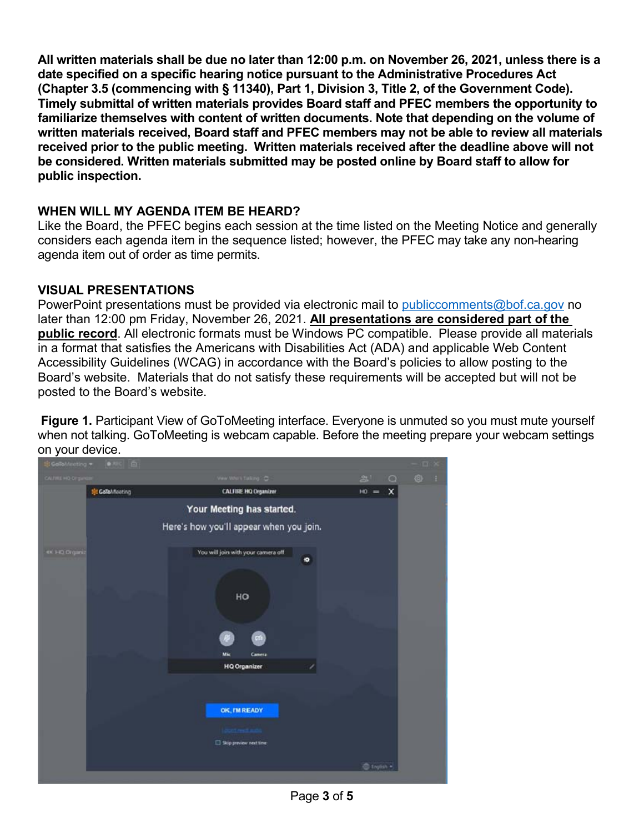**All written materials shall be due no later than 12:00 p.m. on November 26, 2021, unless there is a date specified on a specific hearing notice pursuant to the Administrative Procedures Act (Chapter 3.5 (commencing with § 11340), Part 1, Division 3, Title 2, of the Government Code). Timely submittal of written materials provides Board staff and PFEC members the opportunity to familiarize themselves with content of written documents. Note that depending on the volume of written materials received, Board staff and PFEC members may not be able to review all materials received prior to the public meeting. Written materials received after the deadline above will not be considered. Written materials submitted may be posted online by Board staff to allow for public inspection.** 

# **WHEN WILL MY AGENDA ITEM BE HEARD?**

 Like the Board, the PFEC begins each session at the time listed on the Meeting Notice and generally considers each agenda item in the sequence listed; however, the PFEC may take any non-hearing agenda item out of order as time permits.

# **VISUAL PRESENTATIONS**

PowerPoint presentations must be provided via electronic mail to publiccomments@bof.ca.gov no later than 12:00 pm Friday, November 26, 2021. **All presentations are considered part of the public record**. All electronic formats must be Windows PC compatible. Please provide all materials in a format that satisfies the Americans with Disabilities Act (ADA) and applicable Web Content Accessibility Guidelines (WCAG) in accordance with the Board's policies to allow posting to the Board's website. Materials that do not satisfy these requirements will be accepted but will not be posted to the Board's website.

**Figure 1.** Participant View of GoToMeeting interface. Everyone is unmuted so you must mute yourself when not talking. GoToMeeting is webcam capable. Before the meeting prepare your webcam settings on your device.

|                     | GolbMesting = 0.450 (C) |                                                             |   |             |          | $-100$ |  |
|---------------------|-------------------------|-------------------------------------------------------------|---|-------------|----------|--------|--|
| CALIFIC HO Organize |                         | View Work Taking 2015                                       |   | 21          | $\circ$  | © 1    |  |
|                     | St GalaMeeting          | <b>CALFIRE HQ Organizer</b>                                 |   | $10 =$      | $\times$ |        |  |
|                     |                         | Your Meeting has started.                                   |   |             |          |        |  |
|                     |                         | Here's how you'll appear when you join.                     |   |             |          |        |  |
| KK HQ Organiz       |                         | You will join with your camera off.<br>HO<br>C <sub>1</sub> | ۰ |             |          |        |  |
|                     |                         | Mic<br>Camera<br><b>HQ Organizer</b>                        |   |             |          |        |  |
|                     |                         | OK, I'M READY<br><b>TERRITORY</b><br>Skip preview next time |   |             |          |        |  |
|                     |                         |                                                             |   | C English . |          |        |  |

Page **3** of **5**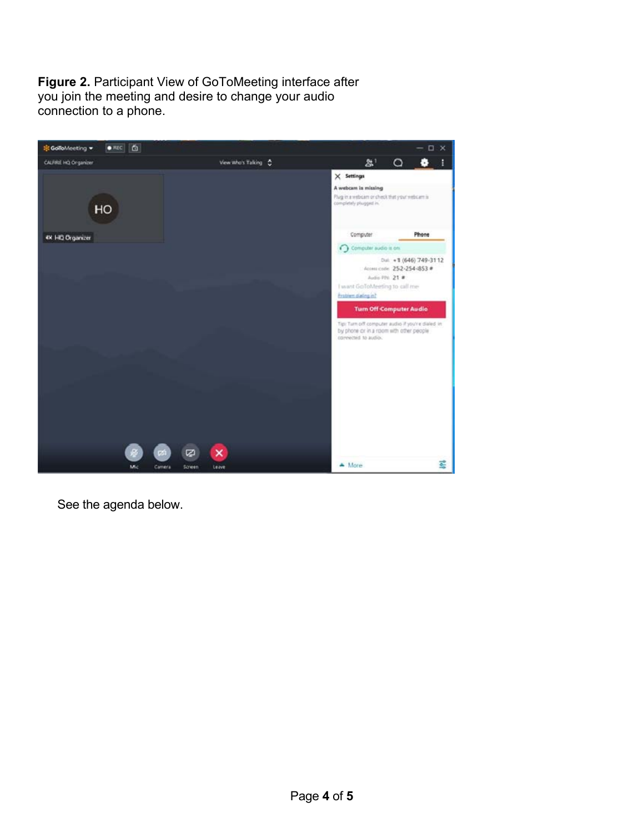**Figure 2.** Participant View of GoToMeeting interface after you join the meeting and desire to change your audio connection to a phone.



See the agenda below.